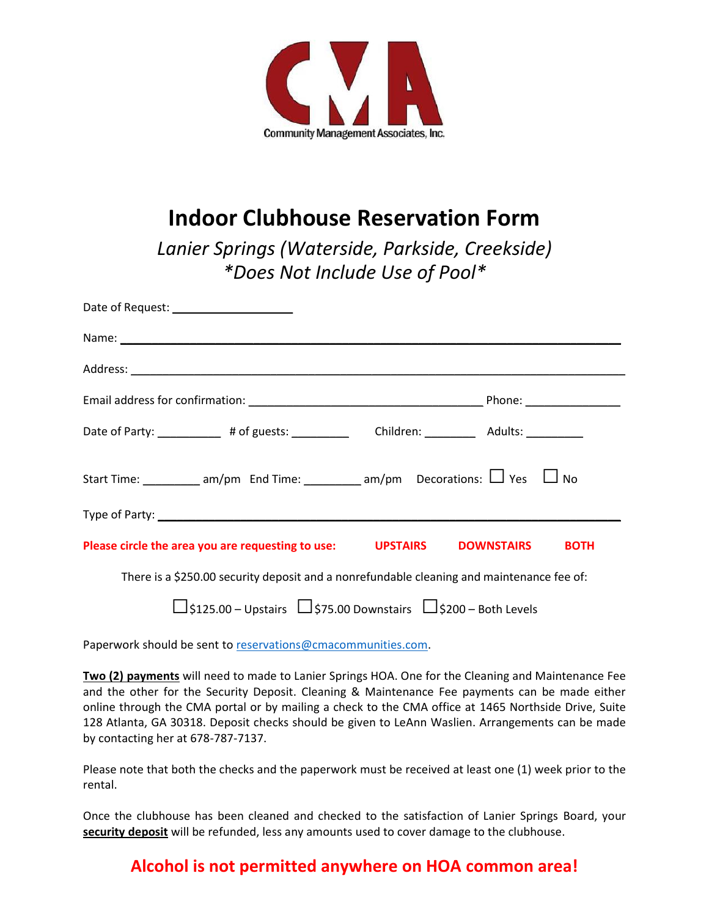

# **Indoor Clubhouse Reservation Form**

*Lanier Springs (Waterside, Parkside, Creekside) \*Does Not Include Use of Pool\**

| Date of Request: ______________________                                                   |                                                     |
|-------------------------------------------------------------------------------------------|-----------------------------------------------------|
|                                                                                           |                                                     |
|                                                                                           |                                                     |
|                                                                                           |                                                     |
| Date of Party: 40 degree at a degree to the state of Party:                               | Children: ____________ Adults: ___________          |
| Start Time: ___________ am/pm End Time: _________ am/pm Decorations: $\Box$ Yes $\Box$ No |                                                     |
|                                                                                           |                                                     |
| Please circle the area you are requesting to use:                                         | <b>UPSTAIRS</b><br><b>DOWNSTAIRS</b><br><b>BOTH</b> |

There is a \$250.00 security deposit and a nonrefundable cleaning and maintenance fee of:

**□**\$125.00 – Upstairs **□**\$75.00 Downstairs **□**\$200 – Both Levels

Paperwork should be sent to [reservations@cmacommunities.com.](mailto:reservations@cmacommunities.com)

**Two (2) payments** will need to made to Lanier Springs HOA. One for the Cleaning and Maintenance Fee and the other for the Security Deposit. Cleaning & Maintenance Fee payments can be made either online through the CMA portal or by mailing a check to the CMA office at 1465 Northside Drive, Suite 128 Atlanta, GA 30318. Deposit checks should be given to LeAnn Waslien. Arrangements can be made by contacting her at 678-787-7137.

Please note that both the checks and the paperwork must be received at least one (1) week prior to the rental.

Once the clubhouse has been cleaned and checked to the satisfaction of Lanier Springs Board, your **security deposit** will be refunded, less any amounts used to cover damage to the clubhouse.

## **Alcohol is not permitted anywhere on HOA common area!**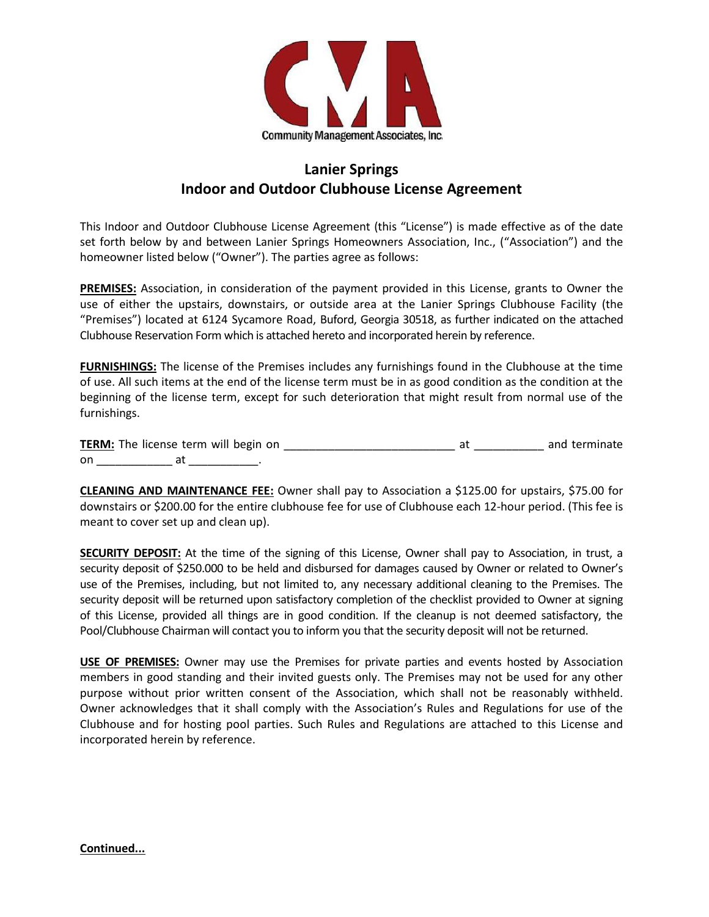

## **Lanier Springs Indoor and Outdoor Clubhouse License Agreement**

This Indoor and Outdoor Clubhouse License Agreement (this "License") is made effective as of the date set forth below by and between Lanier Springs Homeowners Association, Inc., ("Association") and the homeowner listed below ("Owner"). The parties agree as follows:

**PREMISES:** Association, in consideration of the payment provided in this License, grants to Owner the use of either the upstairs, downstairs, or outside area at the Lanier Springs Clubhouse Facility (the "Premises") located at 6124 Sycamore Road, Buford, Georgia 30518, as further indicated on the attached Clubhouse Reservation Form which is attached hereto and incorporated herein by reference.

**FURNISHINGS:** The license of the Premises includes any furnishings found in the Clubhouse at the time of use. All such items at the end of the license term must be in as good condition as the condition at the beginning of the license term, except for such deterioration that might result from normal use of the furnishings.

|    | <b>TERM:</b> The license term will begin on |  | and terminate |
|----|---------------------------------------------|--|---------------|
| on |                                             |  |               |

**CLEANING AND MAINTENANCE FEE:** Owner shall pay to Association a \$125.00 for upstairs, \$75.00 for downstairs or \$200.00 for the entire clubhouse fee for use of Clubhouse each 12-hour period. (This fee is meant to cover set up and clean up).

**SECURITY DEPOSIT:** At the time of the signing of this License, Owner shall pay to Association, in trust, a security deposit of \$250.000 to be held and disbursed for damages caused by Owner or related to Owner's use of the Premises, including, but not limited to, any necessary additional cleaning to the Premises. The security deposit will be returned upon satisfactory completion of the checklist provided to Owner at signing of this License, provided all things are in good condition. If the cleanup is not deemed satisfactory, the Pool/Clubhouse Chairman will contact you to inform you that the security deposit will not be returned.

**USE OF PREMISES:** Owner may use the Premises for private parties and events hosted by Association members in good standing and their invited guests only. The Premises may not be used for any other purpose without prior written consent of the Association, which shall not be reasonably withheld. Owner acknowledges that it shall comply with the Association's Rules and Regulations for use of the Clubhouse and for hosting pool parties. Such Rules and Regulations are attached to this License and incorporated herein by reference.

**Continued...**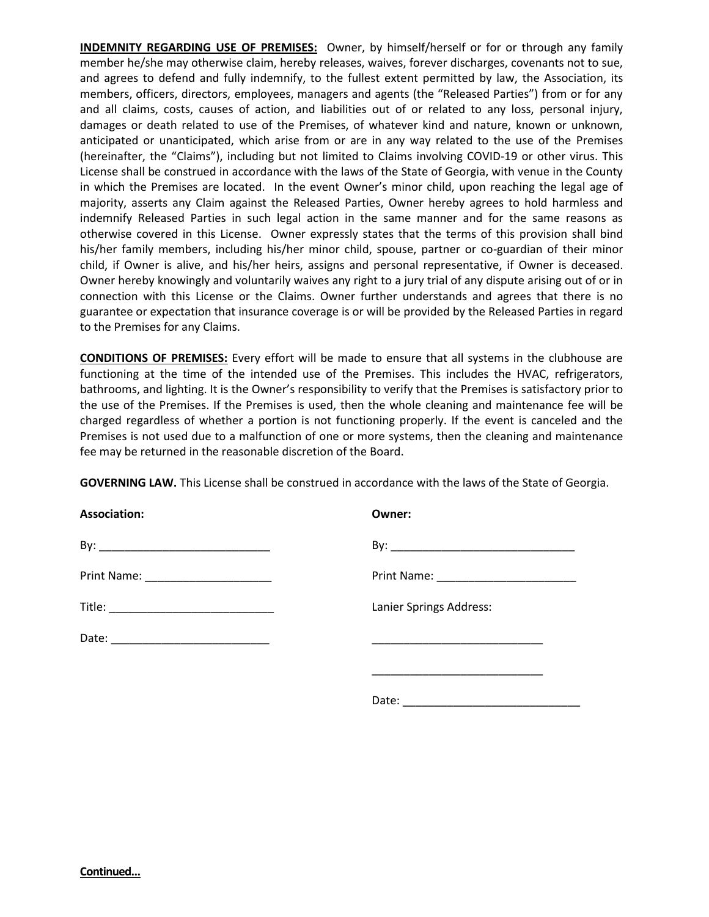**INDEMNITY REGARDING USE OF PREMISES:** Owner, by himself/herself or for or through any family member he/she may otherwise claim, hereby releases, waives, forever discharges, covenants not to sue, and agrees to defend and fully indemnify, to the fullest extent permitted by law, the Association, its members, officers, directors, employees, managers and agents (the "Released Parties") from or for any and all claims, costs, causes of action, and liabilities out of or related to any loss, personal injury, damages or death related to use of the Premises, of whatever kind and nature, known or unknown, anticipated or unanticipated, which arise from or are in any way related to the use of the Premises (hereinafter, the "Claims"), including but not limited to Claims involving COVID-19 or other virus. This License shall be construed in accordance with the laws of the State of Georgia, with venue in the County in which the Premises are located. In the event Owner's minor child, upon reaching the legal age of majority, asserts any Claim against the Released Parties, Owner hereby agrees to hold harmless and indemnify Released Parties in such legal action in the same manner and for the same reasons as otherwise covered in this License. Owner expressly states that the terms of this provision shall bind his/her family members, including his/her minor child, spouse, partner or co-guardian of their minor child, if Owner is alive, and his/her heirs, assigns and personal representative, if Owner is deceased. Owner hereby knowingly and voluntarily waives any right to a jury trial of any dispute arising out of or in connection with this License or the Claims. Owner further understands and agrees that there is no guarantee or expectation that insurance coverage is or will be provided by the Released Parties in regard to the Premises for any Claims.

**CONDITIONS OF PREMISES:** Every effort will be made to ensure that all systems in the clubhouse are functioning at the time of the intended use of the Premises. This includes the HVAC, refrigerators, bathrooms, and lighting. It is the Owner's responsibility to verify that the Premises is satisfactory prior to the use of the Premises. If the Premises is used, then the whole cleaning and maintenance fee will be charged regardless of whether a portion is not functioning properly. If the event is canceled and the Premises is not used due to a malfunction of one or more systems, then the cleaning and maintenance fee may be returned in the reasonable discretion of the Board.

**GOVERNING LAW.** This License shall be construed in accordance with the laws of the State of Georgia.

| <b>Association:</b>                 | Owner:                                               |
|-------------------------------------|------------------------------------------------------|
|                                     |                                                      |
| Print Name: _______________________ |                                                      |
|                                     | Lanier Springs Address:                              |
|                                     | <u> 1989 - Johann John Stein, mars et al. (1989)</u> |
|                                     |                                                      |
|                                     | Date:                                                |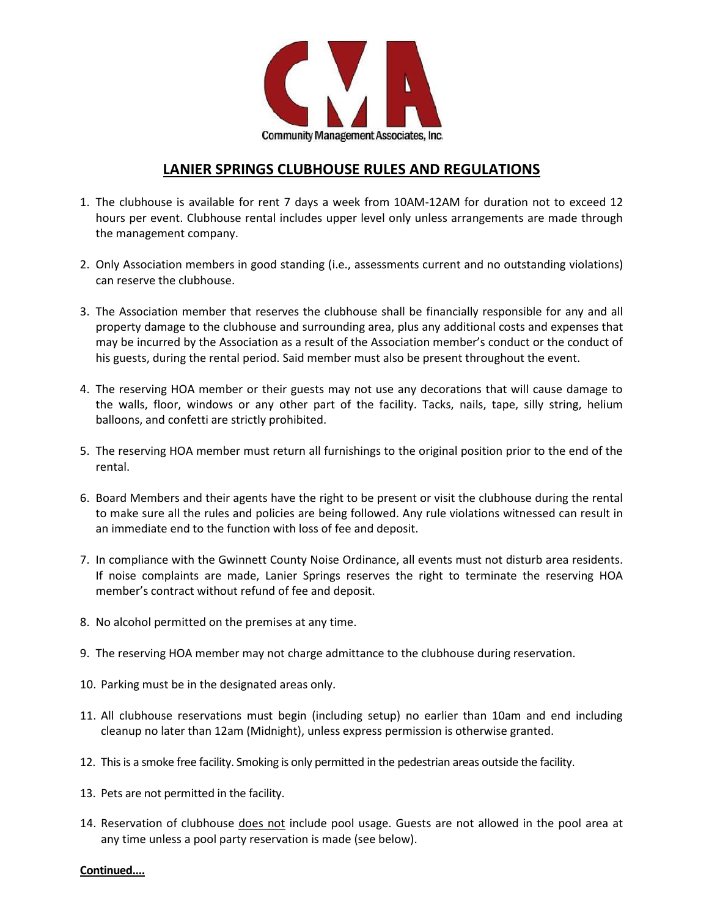

### **LANIER SPRINGS CLUBHOUSE RULES AND REGULATIONS**

- 1. The clubhouse is available for rent 7 days a week from 10AM-12AM for duration not to exceed 12 hours per event. Clubhouse rental includes upper level only unless arrangements are made through the management company.
- 2. Only Association members in good standing (i.e., assessments current and no outstanding violations) can reserve the clubhouse.
- 3. The Association member that reserves the clubhouse shall be financially responsible for any and all property damage to the clubhouse and surrounding area, plus any additional costs and expenses that may be incurred by the Association as a result of the Association member's conduct or the conduct of his guests, during the rental period. Said member must also be present throughout the event.
- 4. The reserving HOA member or their guests may not use any decorations that will cause damage to the walls, floor, windows or any other part of the facility. Tacks, nails, tape, silly string, helium balloons, and confetti are strictly prohibited.
- 5. The reserving HOA member must return all furnishings to the original position prior to the end of the rental.
- 6. Board Members and their agents have the right to be present or visit the clubhouse during the rental to make sure all the rules and policies are being followed. Any rule violations witnessed can result in an immediate end to the function with loss of fee and deposit.
- 7. In compliance with the Gwinnett County Noise Ordinance, all events must not disturb area residents. If noise complaints are made, Lanier Springs reserves the right to terminate the reserving HOA member's contract without refund of fee and deposit.
- 8. No alcohol permitted on the premises at any time.
- 9. The reserving HOA member may not charge admittance to the clubhouse during reservation.
- 10. Parking must be in the designated areas only.
- 11. All clubhouse reservations must begin (including setup) no earlier than 10am and end including cleanup no later than 12am (Midnight), unless express permission is otherwise granted.
- 12. This is a smoke free facility. Smoking is only permitted in the pedestrian areas outside the facility.
- 13. Pets are not permitted in the facility.
- 14. Reservation of clubhouse does not include pool usage. Guests are not allowed in the pool area at any time unless a pool party reservation is made (see below).

#### **Continued....**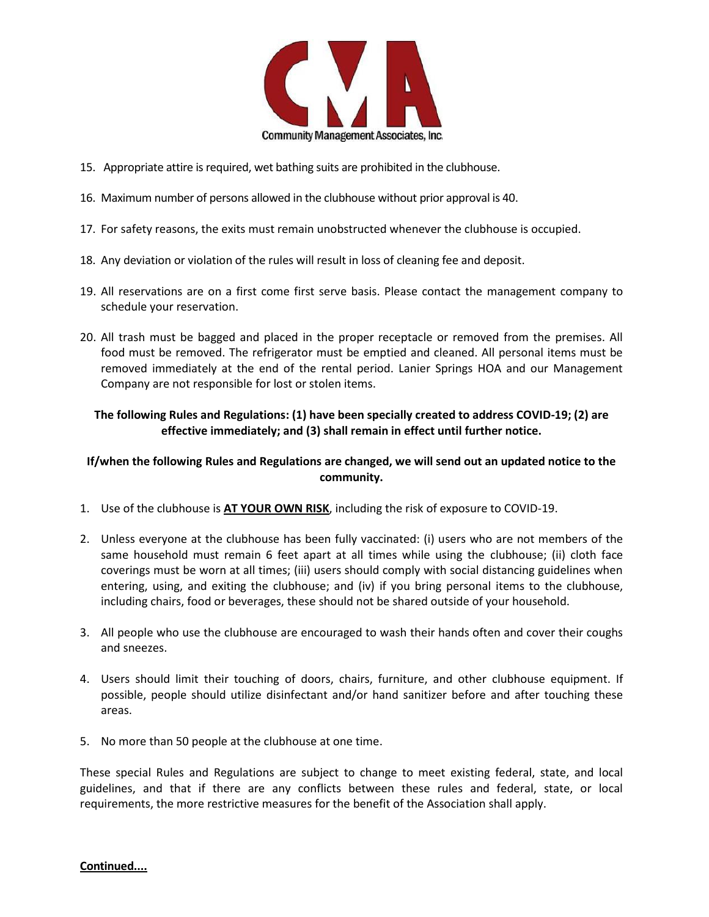

- 15. Appropriate attire is required, wet bathing suits are prohibited in the clubhouse.
- 16. Maximum number of persons allowed in the clubhouse without prior approval is 40.
- 17. For safety reasons, the exits must remain unobstructed whenever the clubhouse is occupied.
- 18. Any deviation or violation of the rules will result in loss of cleaning fee and deposit.
- 19. All reservations are on a first come first serve basis. Please contact the management company to schedule your reservation.
- 20. All trash must be bagged and placed in the proper receptacle or removed from the premises. All food must be removed. The refrigerator must be emptied and cleaned. All personal items must be removed immediately at the end of the rental period. Lanier Springs HOA and our Management Company are not responsible for lost or stolen items.

#### **The following Rules and Regulations: (1) have been specially created to address COVID-19; (2) are effective immediately; and (3) shall remain in effect until further notice.**

#### **If/when the following Rules and Regulations are changed, we will send out an updated notice to the community.**

- 1. Use of the clubhouse is **AT YOUR OWN RISK**, including the risk of exposure to COVID-19.
- 2. Unless everyone at the clubhouse has been fully vaccinated: (i) users who are not members of the same household must remain 6 feet apart at all times while using the clubhouse; (ii) cloth face coverings must be worn at all times; (iii) users should comply with social distancing guidelines when entering, using, and exiting the clubhouse; and (iv) if you bring personal items to the clubhouse, including chairs, food or beverages, these should not be shared outside of your household.
- 3. All people who use the clubhouse are encouraged to wash their hands often and cover their coughs and sneezes.
- 4. Users should limit their touching of doors, chairs, furniture, and other clubhouse equipment. If possible, people should utilize disinfectant and/or hand sanitizer before and after touching these areas.
- 5. No more than 50 people at the clubhouse at one time.

These special Rules and Regulations are subject to change to meet existing federal, state, and local guidelines, and that if there are any conflicts between these rules and federal, state, or local requirements, the more restrictive measures for the benefit of the Association shall apply.

#### **Continued....**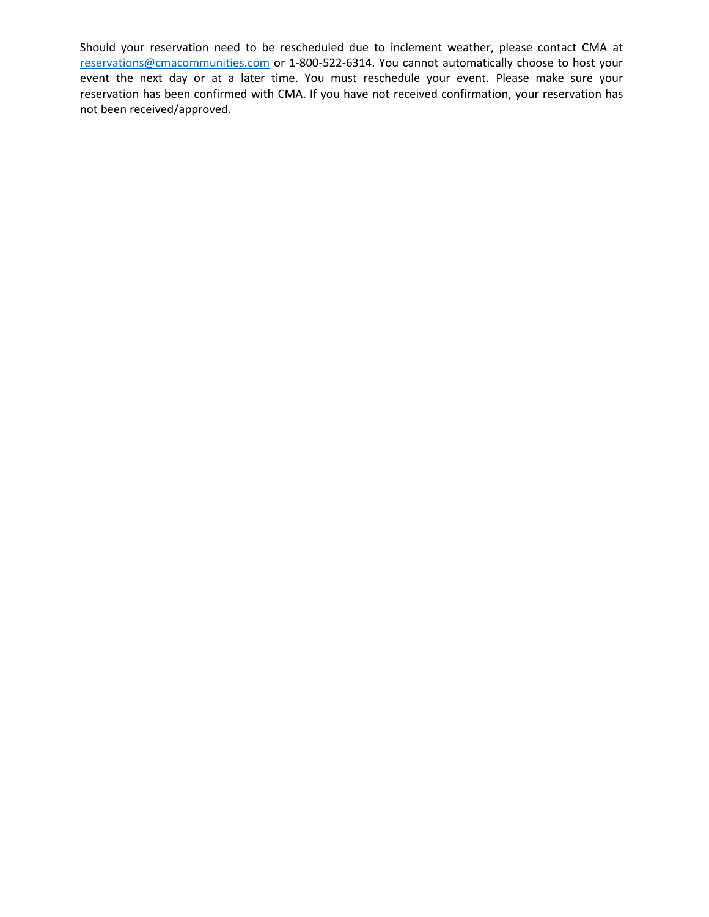Should your reservation need to be rescheduled due to inclement weather, please contact CMA at [reservations@cmacommunities.com](mailto:reservations@cmacommunities.com) or 1-800-522-6314. You cannot automatically choose to host your event the next day or at a later time. You must reschedule your event. Please make sure your reservation has been confirmed with CMA. If you have not received confirmation, your reservation has not been received/approved.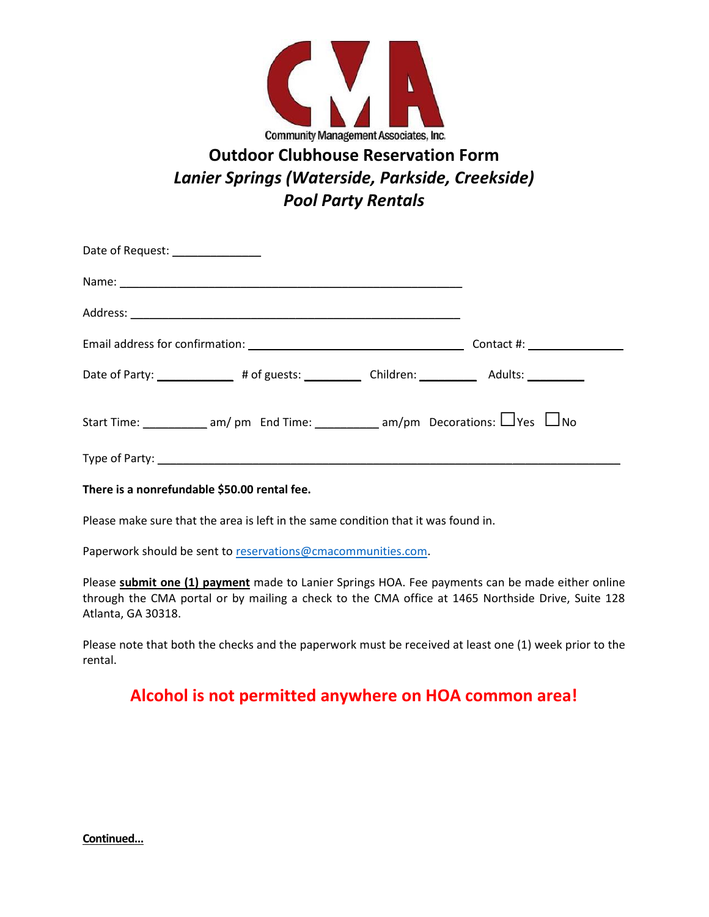

## **Outdoor Clubhouse Reservation Form** *Lanier Springs (Waterside, Parkside, Creekside) Pool Party Rentals*

| Date of Request: ________________ |                                                                                                      |                               |  |
|-----------------------------------|------------------------------------------------------------------------------------------------------|-------------------------------|--|
|                                   |                                                                                                      |                               |  |
|                                   |                                                                                                      |                               |  |
|                                   |                                                                                                      | Contact #: __________________ |  |
|                                   | Date of Party: _______________# of guests: _____________Children: ______________ Adults: ___________ |                               |  |
|                                   | Start Time: ____________ am/ pm End Time: ___________ am/pm Decorations: $\Box$ Yes $\Box$ No        |                               |  |
|                                   |                                                                                                      |                               |  |

**There is a nonrefundable \$50.00 rental fee.** 

Please make sure that the area is left in the same condition that it was found in.

Paperwork should be sent t[o reservations@cmacommunities.com.](mailto:reservations@cmacommunities.com)

Please **submit one (1) payment** made to Lanier Springs HOA. Fee payments can be made either online through the CMA portal or by mailing a check to the CMA office at 1465 Northside Drive, Suite 128 Atlanta, GA 30318.

Please note that both the checks and the paperwork must be received at least one (1) week prior to the rental.

## **Alcohol is not permitted anywhere on HOA common area!**

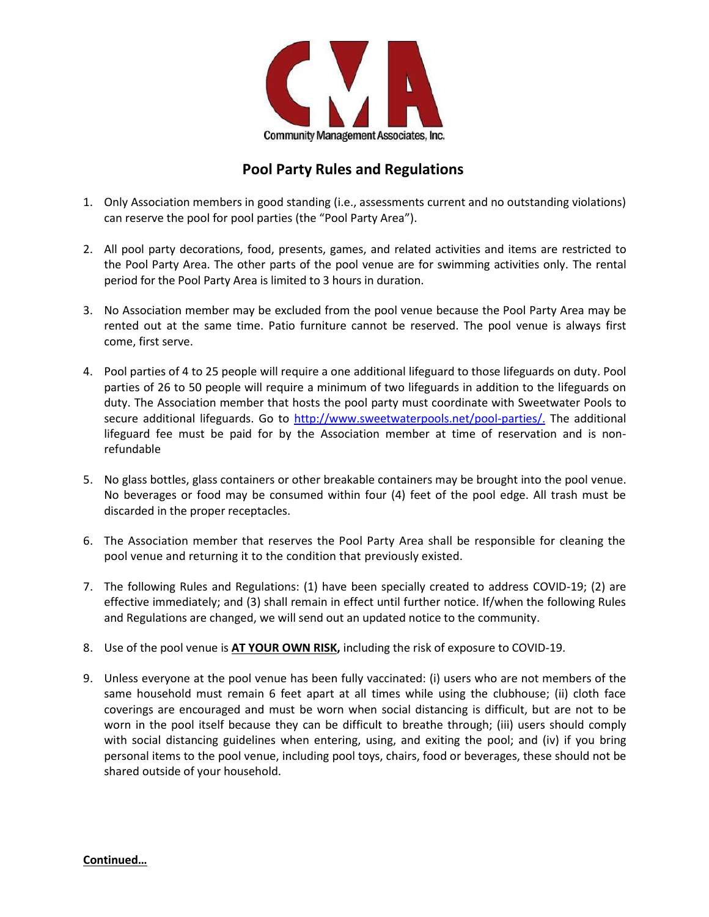

## **Pool Party Rules and Regulations**

- 1. Only Association members in good standing (i.e., assessments current and no outstanding violations) can reserve the pool for pool parties (the "Pool Party Area").
- 2. All pool party decorations, food, presents, games, and related activities and items are restricted to the Pool Party Area. The other parts of the pool venue are for swimming activities only. The rental period for the Pool Party Area is limited to 3 hours in duration.
- 3. No Association member may be excluded from the pool venue because the Pool Party Area may be rented out at the same time. Patio furniture cannot be reserved. The pool venue is always first come, first serve.
- 4. Pool parties of 4 to 25 people will require a one additional lifeguard to those lifeguards on duty. Pool parties of 26 to 50 people will require a minimum of two lifeguards in addition to the lifeguards on duty. The Association member that hosts the pool party must coordinate with Sweetwater Pools to secure additional lifeguards. Go to [http://www.sweetwaterpools.net/pool-parties/.](http://www.sweetwaterpools.net/pool-parties/) The additional lifeguard fee must be paid for by the Association member at time of reservation and is nonrefundable
- 5. No glass bottles, glass containers or other breakable containers may be brought into the pool venue. No beverages or food may be consumed within four (4) feet of the pool edge. All trash must be discarded in the proper receptacles.
- 6. The Association member that reserves the Pool Party Area shall be responsible for cleaning the pool venue and returning it to the condition that previously existed.
- 7. The following Rules and Regulations: (1) have been specially created to address COVID-19; (2) are effective immediately; and (3) shall remain in effect until further notice. If/when the following Rules and Regulations are changed, we will send out an updated notice to the community.
- 8. Use of the pool venue is **AT YOUR OWN RISK,** including the risk of exposure to COVID-19.
- 9. Unless everyone at the pool venue has been fully vaccinated: (i) users who are not members of the same household must remain 6 feet apart at all times while using the clubhouse; (ii) cloth face coverings are encouraged and must be worn when social distancing is difficult, but are not to be worn in the pool itself because they can be difficult to breathe through; (iii) users should comply with social distancing guidelines when entering, using, and exiting the pool; and (iv) if you bring personal items to the pool venue, including pool toys, chairs, food or beverages, these should not be shared outside of your household.

**Continued…**